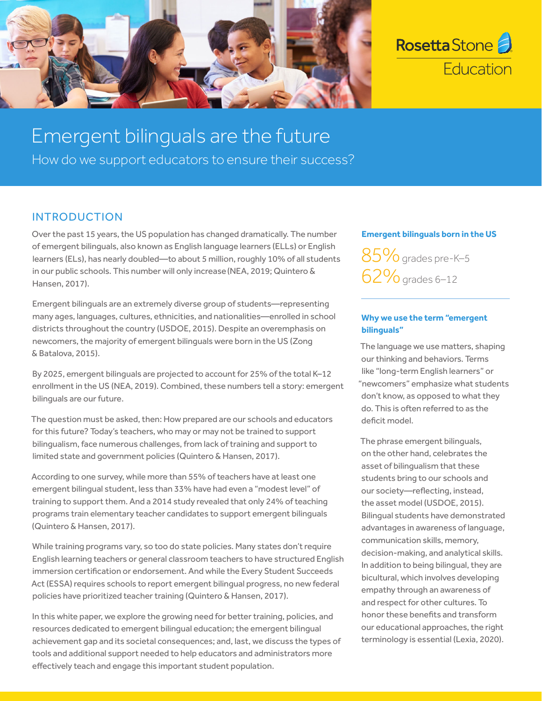



# Emergent bilinguals are the future

How do we support educators to ensure their success?

## INTRODUCTION

Over the past 15 years, the US population has changed dramatically. The number of emergent bilinguals, also known as English language learners (ELLs) or English learners (ELs), has nearly doubled—to about 5 million, roughly 10% of all students in our public schools. This number will only increase(NEA, 2019; Quintero & Hansen, 2017).

Emergent bilinguals are an extremely diverse group of students—representing many ages, languages, cultures, ethnicities, and nationalities—enrolled in school districts throughout the country (USDOE, 2015). Despite an overemphasis on newcomers, the majority of emergent bilinguals were born in the US (Zong & Batalova, 2015).

By 2025, emergent bilinguals are projected to account for 25% of the total K–12 enrollment in the US (NEA, 2019). Combined, these numbers tell a story: emergent bilinguals are our future.

The question must be asked, then: How prepared are our schools and educators for this future? Today's teachers, who may or may not be trained to support bilingualism, face numerous challenges, from lack of training and support to limited state and government policies (Quintero & Hansen, 2017).

According to one survey, while more than 55% of teachers have at least one emergent bilingual student, less than 33% have had even a "modest level" of training to support them. And a 2014 study revealed that only 24% of teaching programs train elementary teacher candidates to support emergent bilinguals (Quintero & Hansen, 2017).

While training programs vary, so too do state policies. Many states don't require English learning teachers or general classroom teachers to have structured English immersion certification or endorsement. And while the Every Student Succeeds Act (ESSA) requires schools to report emergent bilingual progress, no new federal policies have prioritized teacher training (Quintero & Hansen, 2017).

In this white paper, we explore the growing need for better training, policies, and resources dedicated to emergent bilingual education; the emergent bilingual achievement gap and its societal consequences; and, last, we discuss the types of tools and additional support needed to help educators and administrators more effectively teach and engage this important student population.

#### **Emergent bilinguals born in the US**

85% grades pre-K-5 62%grades 6–12

### **Why we use the term "emergent bilinguals"**

The language we use matters, shaping our thinking and behaviors. Terms like "long-term English learners" or "newcomers" emphasize what students don't know, as opposed to what they do. This is often referred to as the deficit model.

The phrase emergent bilinguals, on the other hand, celebrates the asset of bilingualism that these students bring to our schools and our society—reflecting, instead, the asset model (USDOE, 2015). Bilingual students have demonstrated advantages in awareness of language, communication skills, memory, decision-making, and analytical skills. In addition to being bilingual, they are bicultural, which involves developing empathy through an awareness of and respect for other cultures. To honor these benefits and transform our educational approaches, the right terminology is essential (Lexia, 2020).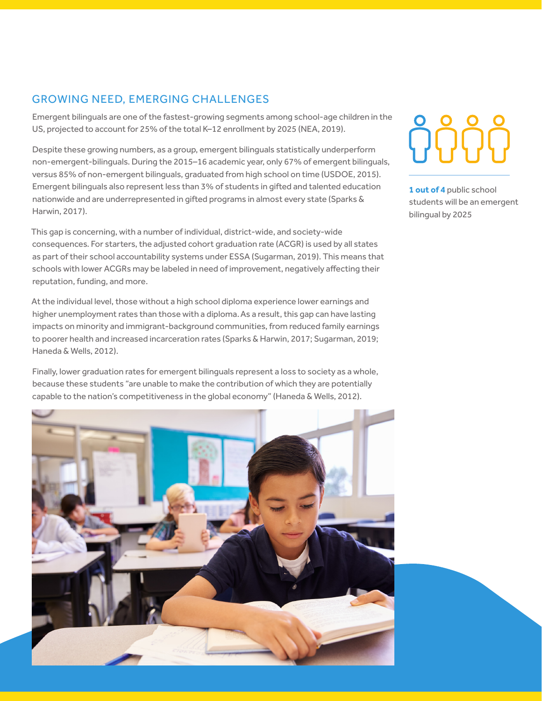## GROWING NEED, EMERGING CHALLENGES

Emergent bilinguals are one of the fastest-growing segments among school-age children in the US, projected to account for 25% of the total K–12 enrollment by 2025 (NEA, 2019).

Despite these growing numbers, as a group, emergent bilinguals statistically underperform non-emergent-bilinguals. During the 2015–16 academic year, only 67% of emergent bilinguals, versus 85% of non-emergent bilinguals, graduated from high school on time (USDOE, 2015). Emergent bilinguals also represent less than 3% of students in gifted and talented education nationwide and are underrepresented in gifted programs in almost every state (Sparks & Harwin, 2017).

This gap is concerning, with a number of individual, district-wide, and society-wide consequences. For starters, the adjusted cohort graduation rate (ACGR) is used by all states as part of their school accountability systems under ESSA (Sugarman, 2019). This means that schools with lower ACGRs may be labeled in need of improvement, negatively affecting their reputation, funding, and more.

At the individual level, those without a high school diploma experience lower earnings and higher unemployment rates than those with a diploma. As a result, this gap can have lasting impacts on minority and immigrant-background communities, from reduced family earnings to poorer health and increased incarceration rates (Sparks & Harwin, 2017; Sugarman, 2019; Haneda & Wells, 2012).

Finally, lower graduation rates for emergent bilinguals represent a loss to society as a whole, because these students "are unable to make the contribution of which they are potentially capable to the nation's competitiveness in the global economy" (Haneda & Wells, 2012).



**1 out of 4** public school students will be an emergent bilingual by 2025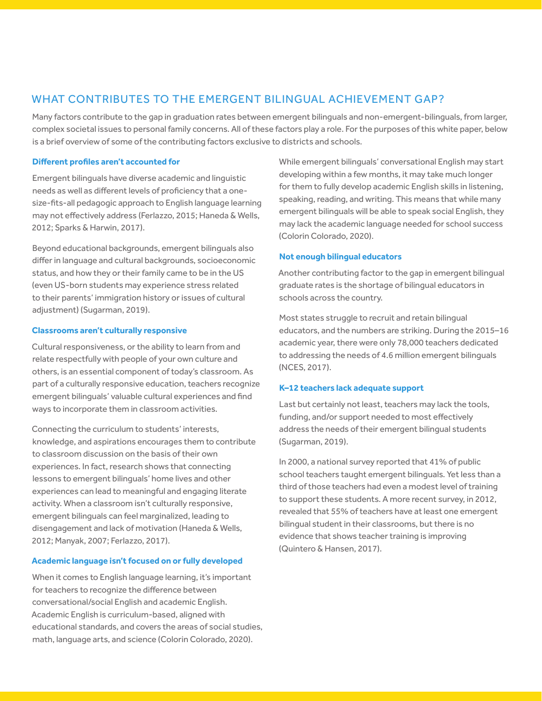## WHAT CONTRIBUTES TO THE EMERGENT BILINGUAL ACHIEVEMENT GAP?

Many factors contribute to the gap in graduation rates between emergent bilinguals and non-emergent-bilinguals, from larger, complex societal issues to personal family concerns. All of these factors play a role. For the purposes of this white paper, below is a brief overview of some of the contributing factors exclusive to districts and schools.

#### **Different profiles aren't accounted for**

Emergent bilinguals have diverse academic and linguistic needs as well as different levels of proficiency that a onesize-fits-all pedagogic approach to English language learning may not effectively address (Ferlazzo, 2015; Haneda & Wells, 2012; Sparks & Harwin, 2017).

Beyond educational backgrounds, emergent bilinguals also differ in language and cultural backgrounds, socioeconomic status, and how they or their family came to be in the US (even US-born students may experience stress related to their parents' immigration history or issues of cultural adjustment) (Sugarman, 2019).

#### **Classrooms aren't culturally responsive**

Cultural responsiveness, or the ability to learn from and relate respectfully with people of your own culture and others, is an essential component of today's classroom. As part of a culturally responsive education, teachers recognize emergent bilinguals' valuable cultural experiences and find ways to incorporate them in classroom activities.

Connecting the curriculum to students' interests, knowledge, and aspirations encourages them to contribute to classroom discussion on the basis of their own experiences. In fact, research shows that connecting lessons to emergent bilinguals' home lives and other experiences can lead to meaningful and engaging literate activity. When a classroom isn't culturally responsive, emergent bilinguals can feel marginalized, leading to disengagement and lack of motivation (Haneda & Wells, 2012; Manyak, 2007; Ferlazzo, 2017).

#### **Academic language isn't focused on or fully developed**

When it comes to English language learning, it's important for teachers to recognize the difference between conversational/social English and academic English. Academic English is curriculum-based, aligned with educational standards, and covers the areas of social studies, math, language arts, and science (Colorin Colorado, 2020).

While emergent bilinguals' conversational English may start developing within a few months, it may take much longer for them to fully develop academic English skills in listening, speaking, reading, and writing. This means that while many emergent bilinguals will be able to speak social English, they may lack the academic language needed for school success (Colorin Colorado, 2020).

#### **Not enough bilingual educators**

Another contributing factor to the gap in emergent bilingual graduate rates is the shortage of bilingual educators in schools across the country.

Most states struggle to recruit and retain bilingual educators, and the numbers are striking. During the 2015–16 academic year, there were only 78,000 teachers dedicated to addressing the needs of 4.6 million emergent bilinguals (NCES, 2017).

#### **K–12 teachers lack adequate support**

Last but certainly not least, teachers may lack the tools, funding, and/or support needed to most effectively address the needs of their emergent bilingual students (Sugarman, 2019).

In 2000, a national survey reported that 41% of public school teachers taught emergent bilinguals. Yet less than a third of those teachers had even a modest level of training to support these students. A more recent survey, in 2012, revealed that 55% of teachers have at least one emergent bilingual student in their classrooms, but there is no evidence that shows teacher training is improving (Quintero & Hansen, 2017).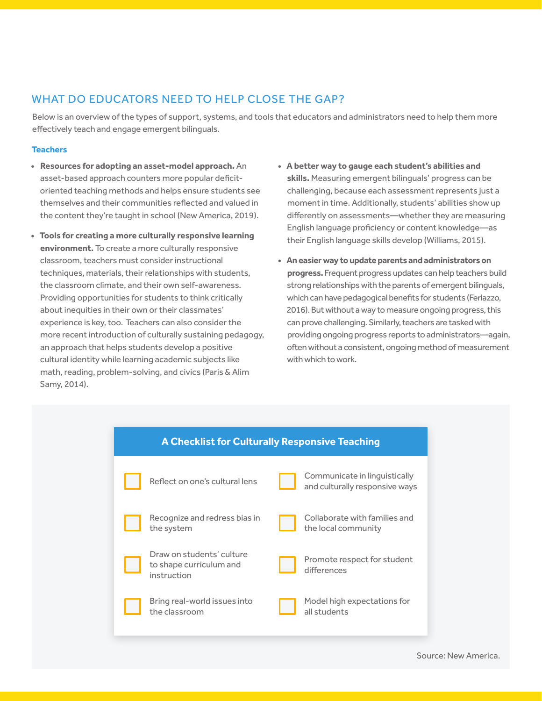## WHAT DO EDUCATORS NEED TO HELP CLOSE THE GAP?

Below is an overview of the types of support, systems, and tools that educators and administrators need to help them more effectively teach and engage emergent bilinguals.

#### **Teachers**

- **• Resources for adopting an asset-model approach.** An asset-based approach counters more popular deficitoriented teaching methods and helps ensure students see themselves and their communities reflected and valued in the content they're taught in school (New America, 2019).
- **• Tools for creating a more culturally responsive learning environment.** To create a more culturally responsive classroom, teachers must consider instructional techniques, materials, their relationships with students, the classroom climate, and their own self-awareness. Providing opportunities for students to think critically about inequities in their own or their classmates' experience is key, too. Teachers can also consider the more recent introduction of culturally sustaining pedagogy, an approach that helps students develop a positive cultural identity while learning academic subjects like math, reading, problem-solving, and civics (Paris & Alim Samy, 2014).
- **• A better way to gauge each student's abilities and skills.** Measuring emergent bilinguals' progress can be challenging, because each assessment represents just a moment in time. Additionally, students' abilities show up differently on assessments—whether they are measuring English language proficiency or content knowledge—as their English language skills develop (Williams, 2015).
- **• An easier way to update parents and administrators on progress.** Frequent progress updates can help teachers build strong relationships with the parents of emergent bilinguals, which can have pedagogical benefits for students (Ferlazzo, 2016). But without a way to measure ongoing progress, this can prove challenging. Similarly, teachers are tasked with providing ongoing progress reports to administrators—again, often without a consistent, ongoing method of measurement with which to work.

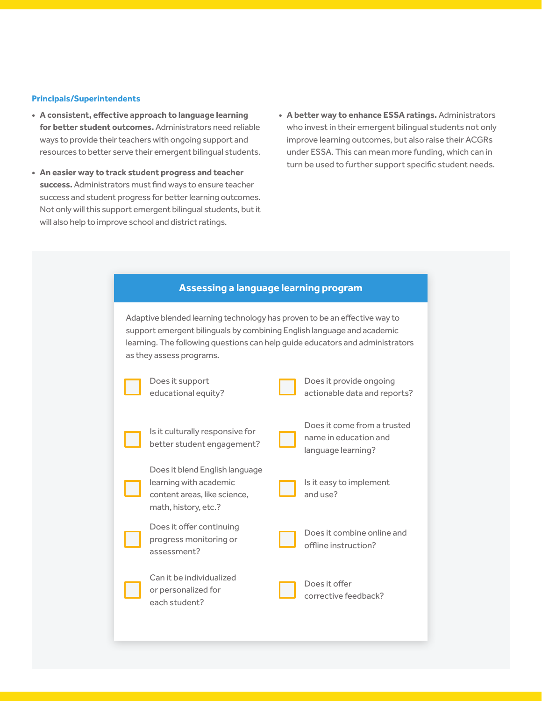#### **Principals/Superintendents**

- **• A consistent, effective approach to language learning for better student outcomes.** Administrators need reliable ways to provide their teachers with ongoing support and resources to better serve their emergent bilingual students.
- **• An easier way to track student progress and teacher success.** Administrators must find ways to ensure teacher success and student progress for better learning outcomes. Not only will this support emergent bilingual students, but it will also help to improve school and district ratings.
- **• A better way to enhance ESSA ratings.** Administrators who invest in their emergent bilingual students not only improve learning outcomes, but also raise their ACGRs under ESSA. This can mean more funding, which can in turn be used to further support specific student needs.